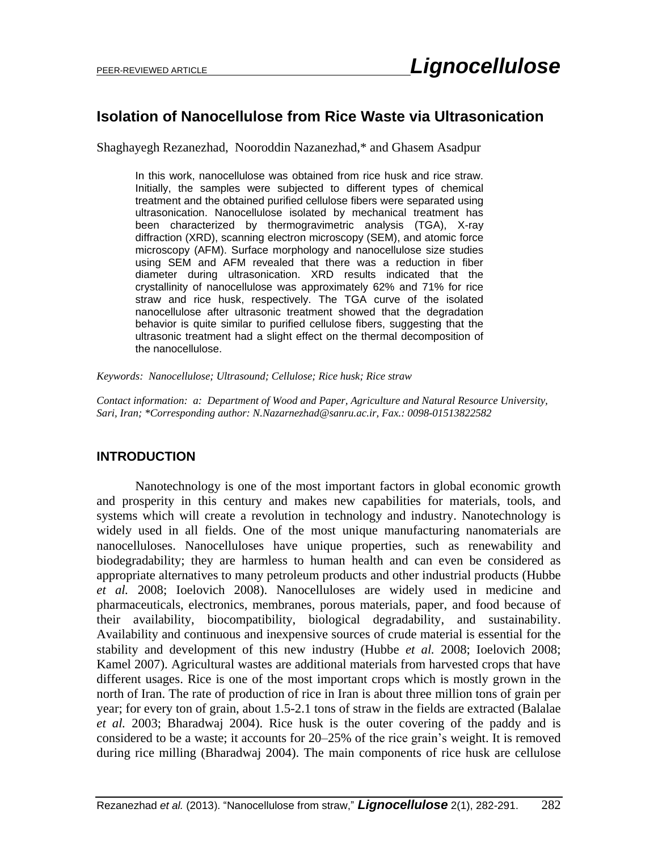# **Isolation of Nanocellulose from Rice Waste via Ultrasonication**

Shaghayegh Rezanezhad, Nooroddin Nazanezhad,\* and Ghasem Asadpur

In this work, nanocellulose was obtained from rice husk and rice straw. Initially, the samples were subjected to different types of chemical treatment and the obtained purified cellulose fibers were separated using ultrasonication. Nanocellulose isolated by mechanical treatment has been characterized by thermogravimetric analysis (TGA), X-ray diffraction (XRD), scanning electron microscopy (SEM), and atomic force microscopy (AFM). Surface morphology and nanocellulose size studies using SEM and AFM revealed that there was a reduction in fiber diameter during ultrasonication. XRD results indicated that the crystallinity of nanocellulose was approximately 62% and 71% for rice straw and rice husk, respectively. The TGA curve of the isolated nanocellulose after ultrasonic treatment showed that the degradation behavior is quite similar to purified cellulose fibers, suggesting that the ultrasonic treatment had a slight effect on the thermal decomposition of the nanocellulose.

*Keywords: Nanocellulose; Ultrasound; Cellulose; Rice husk; Rice straw*

*Contact information: a: Department of Wood and Paper, Agriculture and Natural Resource University, Sari, Iran; \*Corresponding author: N.Nazarnezhad@sanru.ac.ir, Fax.: 0098-01513822582* 

# **INTRODUCTION**

Nanotechnology is one of the most important factors in global economic growth and prosperity in this century and makes new capabilities for materials, tools, and systems which will create a revolution in technology and industry. Nanotechnology is widely used in all fields. One of the most unique manufacturing nanomaterials are nanocelluloses. Nanocelluloses have unique properties, such as renewability and biodegradability; they are harmless to human health and can even be considered as appropriate alternatives to many petroleum products and other industrial products (Hubbe *et al.* 2008; Ioelovich 2008). Nanocelluloses are widely used in medicine and pharmaceuticals, electronics, membranes, porous materials, paper, and food because of their availability, biocompatibility, biological degradability, and sustainability. Availability and continuous and inexpensive sources of crude material is essential for the stability and development of this new industry (Hubbe *et al.* 2008; Ioelovich 2008; Kamel 2007). Agricultural wastes are additional materials from harvested crops that have different usages. Rice is one of the most important crops which is mostly grown in the north of Iran. The rate of production of rice in Iran is about three million tons of grain per year; for every ton of grain, about 1.5-2.1 tons of straw in the fields are extracted (Balalae *et al.* 2003; Bharadwaj 2004). Rice husk is the outer covering of the paddy and is considered to be a waste; it accounts for 20–25% of the rice grain's weight. It is removed during rice milling (Bharadwaj 2004). The main components of rice husk are cellulose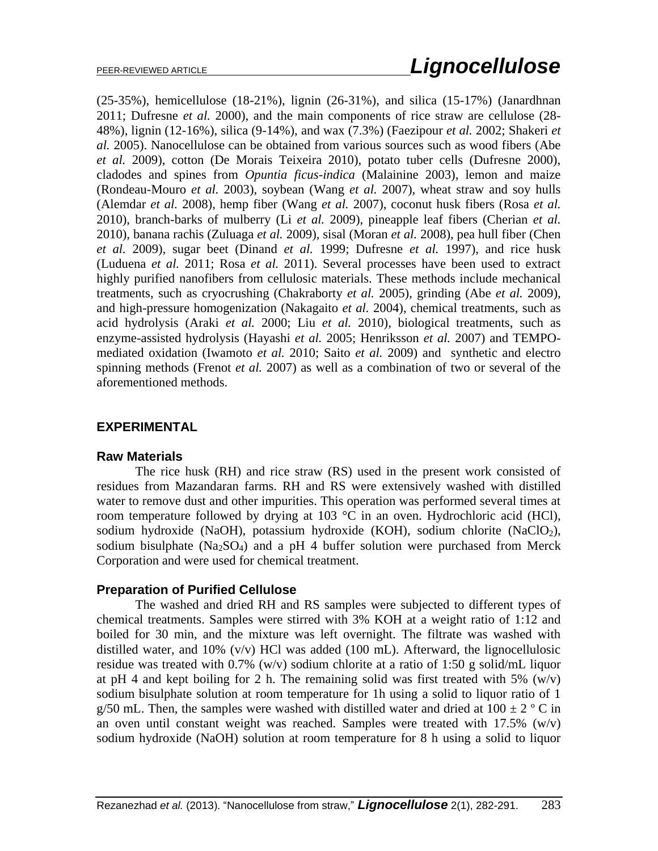(25-35%), hemicellulose (18-21%), lignin (26-31%), and silica (15-17%) (Janardhnan 2011; Dufresne *et al.* 2000), and the main components of rice straw are cellulose (28- 48%), lignin (12-16%), silica (9-14%), and wax (7.3%) (Faezipour *et al.* 2002; Shakeri *et al.* 2005). Nanocellulose can be obtained from various sources such as wood fibers (Abe *et al.* 2009), cotton (De Morais Teixeira 2010), potato tuber cells (Dufresne 2000), cladodes and spines from *Opuntia ficus-indica* (Malainine 2003), lemon and maize (Rondeau-Mouro *et al.* 2003), soybean (Wang *et al.* 2007), wheat straw and soy hulls (Alemdar *et al.* 2008), hemp fiber (Wang *et al.* 2007), coconut husk fibers (Rosa *et al.* 2010), branch-barks of mulberry (Li *et al.* 2009), pineapple leaf fibers (Cherian *et al.* 2010), banana rachis (Zuluaga *et al.* 2009), sisal (Moran *et al.* 2008), pea hull fiber (Chen *et al.* 2009), sugar beet (Dinand *et al.* 1999; Dufresne *et al.* 1997), and rice husk (Luduena *et al.* 2011; Rosa *et al.* 2011). Several processes have been used to extract highly purified nanofibers from cellulosic materials. These methods include mechanical treatments, such as cryocrushing (Chakraborty *et al.* 2005), grinding (Abe *et al.* 2009), and high-pressure homogenization (Nakagaito *et al.* 2004), chemical treatments, such as acid hydrolysis (Araki *et al.* 2000; Liu *et al.* 2010), biological treatments, such as enzyme-assisted hydrolysis (Hayashi *et al.* 2005; Henriksson *et al.* 2007) and TEMPOmediated oxidation (Iwamoto *et al.* 2010; Saito *et al.* 2009) and synthetic and electro spinning methods (Frenot *et al.* 2007) as well as a combination of two or several of the aforementioned methods.

# **EXPERIMENTAL**

# **Raw Materials**

The rice husk (RH) and rice straw (RS) used in the present work consisted of residues from Mazandaran farms. RH and RS were extensively washed with distilled water to remove dust and other impurities. This operation was performed several times at room temperature followed by drying at 103 °C in an oven. Hydrochloric acid (HCl), sodium hydroxide (NaOH), potassium hydroxide (KOH), sodium chlorite (NaClO<sub>2</sub>), sodium bisulphate  $(Na<sub>2</sub>SO<sub>4</sub>)$  and a pH 4 buffer solution were purchased from Merck Corporation and were used for chemical treatment.

# **Preparation of Purified Cellulose**

The washed and dried RH and RS samples were subjected to different types of chemical treatments. Samples were stirred with 3% KOH at a weight ratio of 1:12 and boiled for 30 min, and the mixture was left overnight. The filtrate was washed with distilled water, and 10% (v/v) HCl was added (100 mL). Afterward, the lignocellulosic residue was treated with 0.7% (w/v) sodium chlorite at a ratio of 1:50 g solid/mL liquor at pH 4 and kept boiling for 2 h. The remaining solid was first treated with 5%  $(w/v)$ sodium bisulphate solution at room temperature for 1h using a solid to liquor ratio of 1 g/50 mL. Then, the samples were washed with distilled water and dried at  $100 \pm 2$  ° C in an oven until constant weight was reached. Samples were treated with 17.5% (w/v) sodium hydroxide (NaOH) solution at room temperature for 8 h using a solid to liquor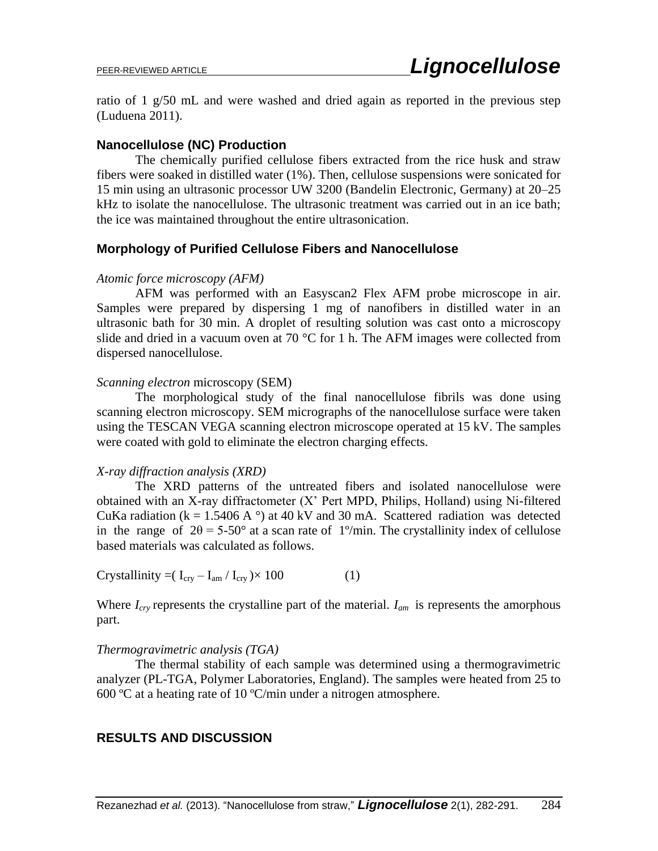ratio of 1 g/50 mL and were washed and dried again as reported in the previous step (Luduena 2011).

### **Nanocellulose (NC) Production**

The chemically purified cellulose fibers extracted from the rice husk and straw fibers were soaked in distilled water (1%). Then, cellulose suspensions were sonicated for 15 min using an ultrasonic processor UW 3200 (Bandelin Electronic, Germany) at 20–25 kHz to isolate the nanocellulose. The ultrasonic treatment was carried out in an ice bath; the ice was maintained throughout the entire ultrasonication.

### **Morphology of Purified Cellulose Fibers and Nanocellulose**

#### *Atomic force microscopy (AFM)*

AFM was performed with an Easyscan2 Flex AFM probe microscope in air. Samples were prepared by dispersing 1 mg of nanofibers in distilled water in an ultrasonic bath for 30 min. A droplet of resulting solution was cast onto a microscopy slide and dried in a vacuum oven at 70  $\degree$ C for 1 h. The AFM images were collected from dispersed nanocellulose.

#### *Scanning electron* microscopy (SEM)

The morphological study of the final nanocellulose fibrils was done using scanning electron microscopy. SEM micrographs of the nanocellulose surface were taken using the TESCAN VEGA scanning electron microscope operated at 15 kV. The samples were coated with gold to eliminate the electron charging effects.

#### *X-ray diffraction analysis (XRD)*

The XRD patterns of the untreated fibers and isolated nanocellulose were obtained with an X-ray diffractometer (X' Pert MPD, Philips, Holland) using Ni-filtered CuKa radiation ( $k = 1.5406$  A  $\degree$ ) at 40 kV and 30 mA. Scattered radiation was detected in the range of  $2\theta = 5-50^{\circ}$  at a scan rate of 1<sup>o</sup>/min. The crystallinity index of cellulose based materials was calculated as follows.

Crystallinity =( $I_{\text{crv}} - I_{\text{am}} / I_{\text{crv}}$ )× 100 (1)

Where *Icry* represents the crystalline part of the material. *Iam* is represents the amorphous part.

#### *Thermogravimetric analysis (TGA)*

The thermal stability of each sample was determined using a thermogravimetric analyzer (PL-TGA, Polymer Laboratories, England). The samples were heated from 25 to 600 ºC at a heating rate of 10 ºC/min under a nitrogen atmosphere.

# **RESULTS AND DISCUSSION**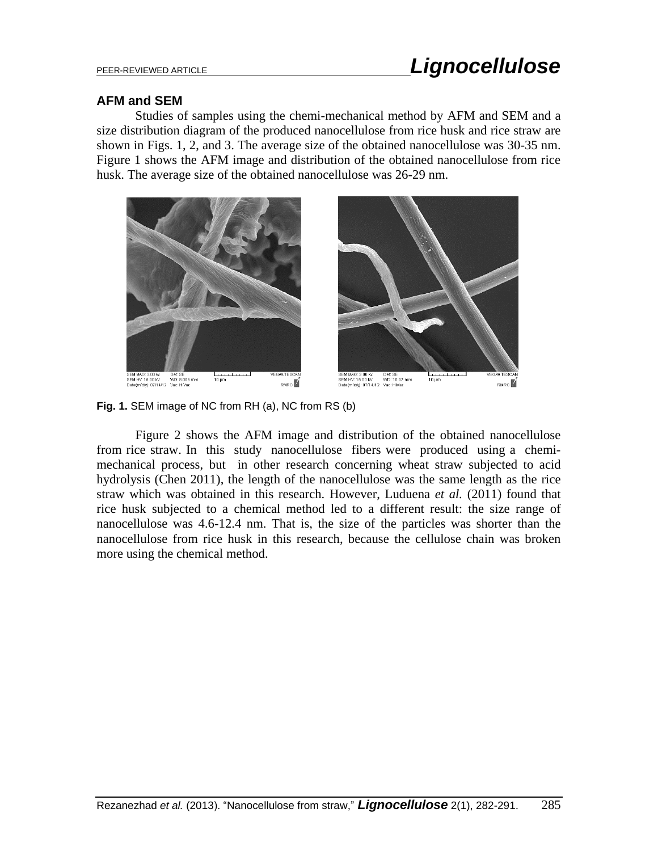#### **AFM and SEM**

Studies of samples using the chemi-mechanical method by AFM and SEM and a size distribution diagram of the produced nanocellulose from rice husk and rice straw are shown in Figs. 1, 2, and 3. The average size of the obtained nanocellulose was 30-35 nm. Figure 1 shows the AFM image and distribution of the obtained nanocellulose from rice husk. The average size of the obtained nanocellulose was 26-29 nm.



**Fig. 1.** SEM image of NC from RH (a), NC from RS (b)

Figure 2 shows the AFM image and distribution of the obtained nanocellulose from rice straw. In this study nanocellulose fibers were produced using a chemimechanical process, but in other research concerning wheat straw subjected to acid hydrolysis (Chen 2011), the length of the nanocellulose was the same length as the rice straw which was obtained in this research. However, Luduena *et al.* (2011) found that rice husk subjected to a chemical method led to a different result: the size range of nanocellulose was 4.6-12.4 nm. That is, the size of the particles was shorter than the nanocellulose from rice husk in this research, because the cellulose chain was broken more using the chemical method.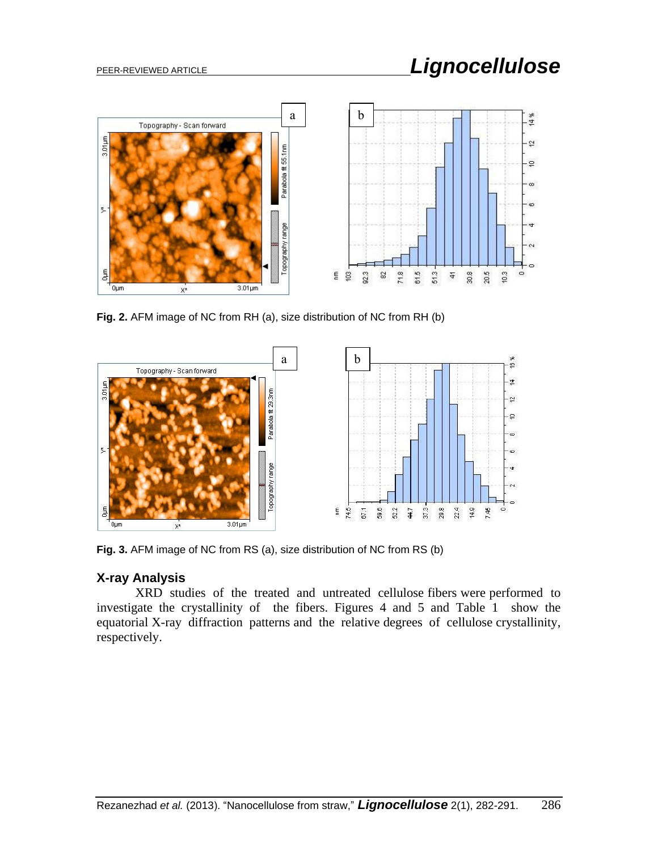

**Fig. 2.** AFM image of NC from RH (a), size distribution of NC from RH (b)



**Fig. 3.** AFM image of NC from RS (a), size distribution of NC from RS (b)

# **X-ray Analysis**

XRD studies of the treated and untreated cellulose fibers were performed to investigate the crystallinity of the fibers. Figures 4 and 5 and Table 1 show the equatorial X-ray diffraction patterns and the relative degrees of cellulose crystallinity, respectively.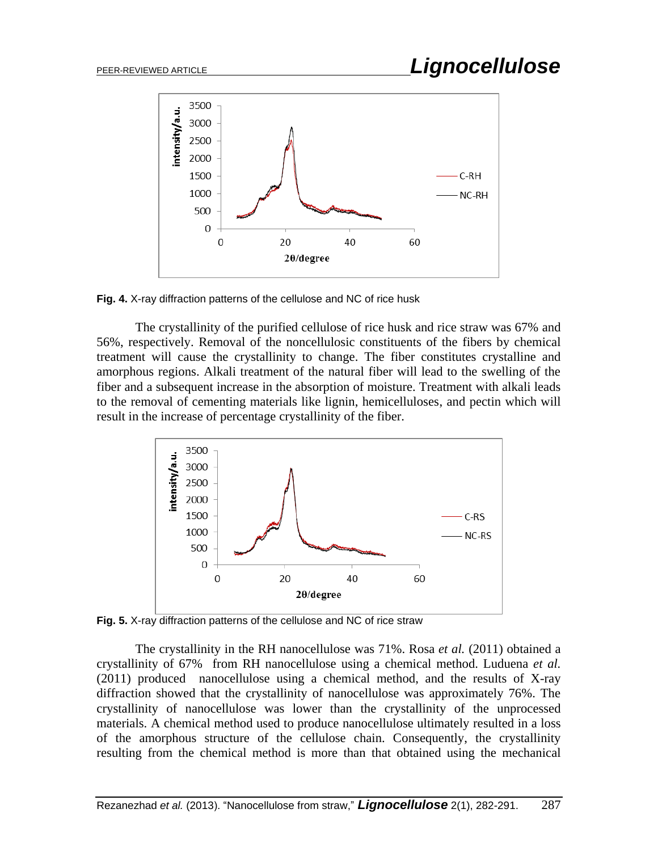

**Fig. 4.** X-ray diffraction patterns of the cellulose and NC of rice husk

The crystallinity of the purified cellulose of rice husk and rice straw was 67% and 56%, respectively. Removal of the noncellulosic constituents of the fibers by chemical treatment will cause the crystallinity to change. The fiber constitutes crystalline and amorphous regions. Alkali treatment of the natural fiber will lead to the swelling of the fiber and a subsequent increase in the absorption of moisture. Treatment with alkali leads to the removal of cementing materials like lignin, hemicelluloses, and pectin which will result in the increase of percentage crystallinity of the fiber.



**Fig. 5.** X-ray diffraction patterns of the cellulose and NC of rice straw

The crystallinity in the RH nanocellulose was 71%. Rosa *et al.* (2011) obtained a crystallinity of 67% from RH nanocellulose using a chemical method. Luduena *et al.* (2011) produced nanocellulose using a chemical method, and the results of X-ray diffraction showed that the crystallinity of nanocellulose was approximately 76%. The crystallinity of nanocellulose was lower than the crystallinity of the unprocessed materials. A chemical method used to produce nanocellulose ultimately resulted in a loss of the amorphous structure of the cellulose chain. Consequently, the crystallinity resulting from the chemical method is more than that obtained using the mechanical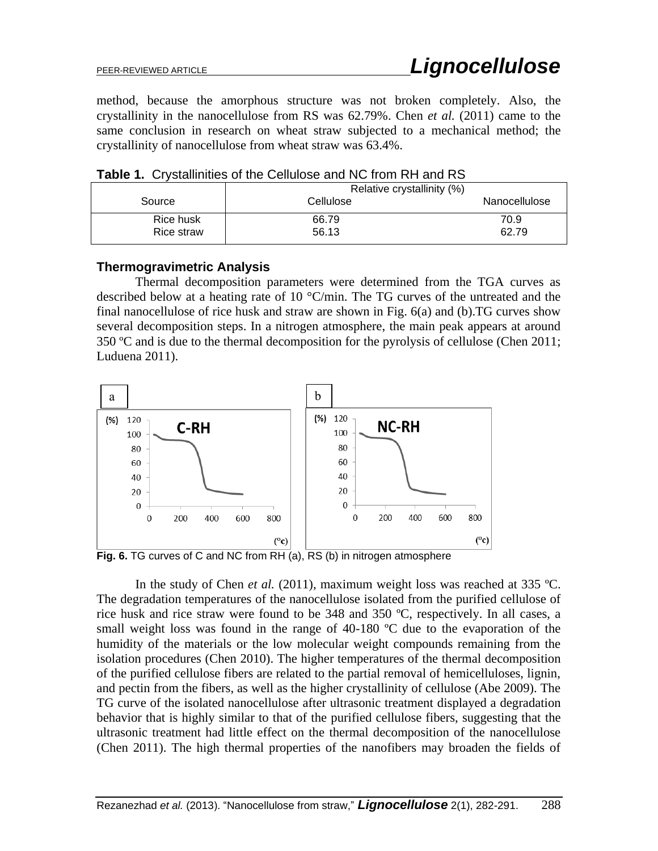method, because the amorphous structure was not broken completely. Also, the crystallinity in the nanocellulose from RS was 62.79%. Chen *et al.* (2011) came to the same conclusion in research on wheat straw subjected to a mechanical method; the crystallinity of nanocellulose from wheat straw was 63.4%.

|            | Relative crystallinity (%) |               |
|------------|----------------------------|---------------|
| Source     | Cellulose                  | Nanocellulose |
| Rice husk  | 66.79                      | 70.9          |
| Rice straw | 56.13                      | 62.79         |

**Table 1.** Crystallinities of the Cellulose and NC from RH and RS

#### **Thermogravimetric Analysis**

Thermal decomposition parameters were determined from the TGA curves as described below at a heating rate of 10 °C/min. The TG curves of the untreated and the final nanocellulose of rice husk and straw are shown in Fig. 6(a) and (b).TG curves show several decomposition steps. In a nitrogen atmosphere, the main peak appears at around 350 ºC and is due to the thermal decomposition for the pyrolysis of cellulose (Chen 2011; Luduena 2011).



**Fig. 6.** TG curves of C and NC from RH (a), RS (b) in nitrogen atmosphere

In the study of Chen *et al.* (2011), maximum weight loss was reached at 335 ºC. The degradation temperatures of the nanocellulose isolated from the purified cellulose of rice husk and rice straw were found to be 348 and 350 ºC, respectively. In all cases, a small weight loss was found in the range of 40-180 °C due to the evaporation of the humidity of the materials or the low molecular weight compounds remaining from the isolation procedures (Chen 2010). The higher temperatures of the thermal decomposition of the purified cellulose fibers are related to the partial removal of hemicelluloses, lignin, and pectin from the fibers, as well as the higher crystallinity of cellulose (Abe 2009). The TG curve of the isolated nanocellulose after ultrasonic treatment displayed a degradation behavior that is highly similar to that of the purified cellulose fibers, suggesting that the ultrasonic treatment had little effect on the thermal decomposition of the nanocellulose (Chen 2011). The high thermal properties of the nanofibers may broaden the fields of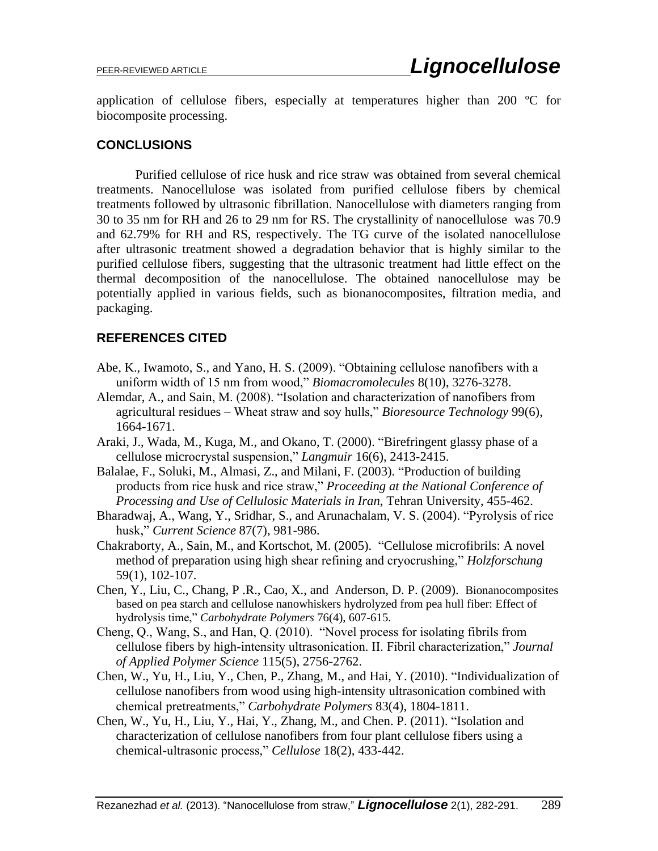application of cellulose fibers, especially at temperatures higher than 200 ºC for biocomposite processing.

### **CONCLUSIONS**

Purified cellulose of rice husk and rice straw was obtained from several chemical treatments. Nanocellulose was isolated from purified cellulose fibers by chemical treatments followed by ultrasonic fibrillation. Nanocellulose with diameters ranging from 30 to 35 nm for RH and 26 to 29 nm for RS. The crystallinity of nanocellulose was 70.9 and 62.79% for RH and RS, respectively. The TG curve of the isolated nanocellulose after ultrasonic treatment showed a degradation behavior that is highly similar to the purified cellulose fibers, suggesting that the ultrasonic treatment had little effect on the thermal decomposition of the nanocellulose. The obtained nanocellulose may be potentially applied in various fields, such as bionanocomposites, filtration media, and packaging.

### **REFERENCES CITED**

- Abe, K., Iwamoto, S., and Yano, H. S. (2009). "Obtaining cellulose nanofibers with a uniform width of 15 nm from wood," *Biomacromolecules* 8(10), 3276-3278.
- Alemdar, A., and Sain, M. (2008). "Isolation and characterization of nanofibers from agricultural residues – Wheat straw and soy hulls," *Bioresource Technology* 99(6), 1664-1671.
- Araki, J., Wada, M., Kuga, M., and Okano, T. (2000). "Birefringent glassy phase of a cellulose microcrystal suspension," *Langmuir* 16(6), 2413-2415.
- Balalae, F., Soluki, M., Almasi, Z., and Milani, F. (2003). "Production of building products from rice husk and rice straw," *Proceeding at the National Conference of Processing and Use of Cellulosic Materials in Iran*, Tehran University, 455-462.
- Bharadwaj, A., Wang, Y., Sridhar, S., and Arunachalam, V. S. (2004). "Pyrolysis of rice husk," *Current Science* 87(7), 981-986.
- Chakraborty, A., Sain, M., and Kortschot, M. (2005). "Cellulose microfibrils: A novel method of preparation using high shear refining and cryocrushing," *Holzforschung* 59(1), 102-107.
- Chen, Y., Liu, C., Chang, P .R., Cao, X., and Anderson, D. P. (2009). Bionanocomposites based on pea starch and cellulose nanowhiskers hydrolyzed from pea hull fiber: Effect of hydrolysis time," *Carbohydrate Polymers* 76(4), 607-615.
- Cheng, Q., Wang, S., and Han, Q. (2010). "Novel process for isolating fibrils from cellulose fibers by high-intensity ultrasonication. II. Fibril characterization," *Journal of Applied Polymer Science* 115(5), 2756-2762.
- Chen, W., Yu, H., Liu, Y., Chen, P., Zhang, M., and Hai, Y. (2010). "Individualization of cellulose nanofibers from wood using high-intensity ultrasonication combined with chemical pretreatments," *Carbohydrate Polymers* 83(4), 1804-1811.
- Chen, W., Yu, H., Liu, Y., Hai, Y., Zhang, M., and Chen. P. (2011). "Isolation and characterization of cellulose nanofibers from four plant cellulose fibers using a chemical-ultrasonic process," *Cellulose* 18(2), 433-442.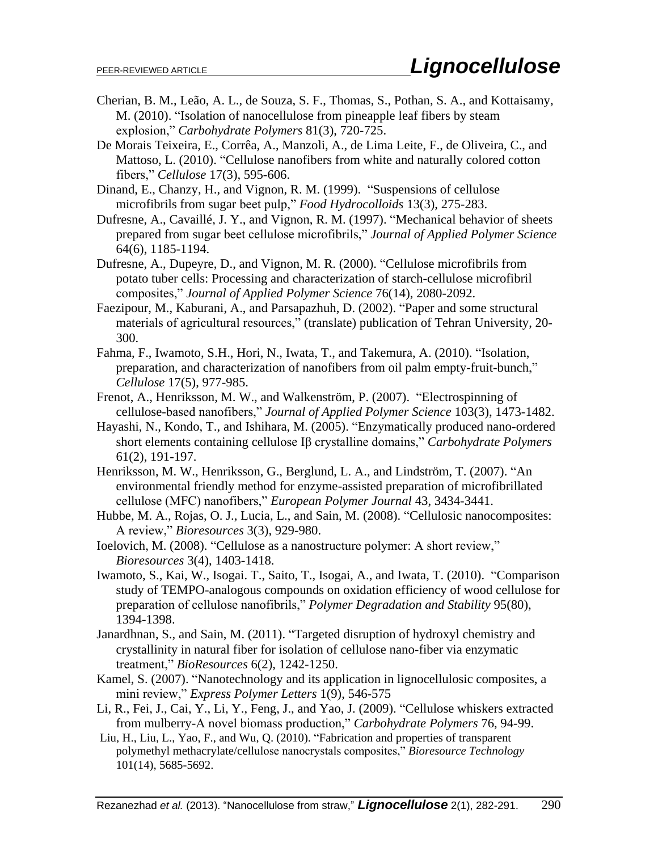- Cherian, B. M., Leão, A. L., de Souza, S. F., Thomas, S., Pothan, S. A., and Kottaisamy, M. (2010). "Isolation of nanocellulose from pineapple leaf fibers by steam explosion," *Carbohydrate Polymers* 81(3), 720-725.
- De Morais Teixeira, E., Corrêa, A., Manzoli, A., de Lima Leite, F., de Oliveira, C., and Mattoso, L. (2010). "Cellulose nanofibers from white and naturally colored cotton fibers," *Cellulose* 17(3), 595-606.
- Dinand, E., Chanzy, H., and Vignon, R. M. (1999). "Suspensions of cellulose microfibrils from sugar beet pulp," *Food Hydrocolloids* 13(3), 275-283.
- Dufresne, A., Cavaillé, J. Y., and Vignon, R. M. (1997). "Mechanical behavior of sheets prepared from sugar beet cellulose microfibrils," *Journal of Applied Polymer Science* 64(6), 1185-1194.
- Dufresne, A., Dupeyre, D., and Vignon, M. R. (2000). "Cellulose microfibrils from potato tuber cells: Processing and characterization of starch-cellulose microfibril composites," *Journal of Applied Polymer Science* 76(14), 2080-2092.
- Faezipour, M., Kaburani, A., and Parsapazhuh, D. (2002). "Paper and some structural materials of agricultural resources," (translate) publication of Tehran University, 20- 300.
- Fahma, F., Iwamoto, S.H., Hori, N., Iwata, T., and Takemura, A. (2010). "Isolation, preparation, and characterization of nanofibers from oil palm empty-fruit-bunch," *Cellulose* 17(5), 977-985.
- Frenot, A., Henriksson, M. W., and Walkenström, P. (2007). "Electrospinning of cellulose-based nanofibers," *Journal of Applied Polymer Science* 103(3), 1473-1482.
- Hayashi, N., Kondo, T., and Ishihara, M. (2005). "Enzymatically produced nano-ordered short elements containing cellulose Iβ crystalline domains," *Carbohydrate Polymers* 61(2), 191-197.
- Henriksson, M. W., Henriksson, G., Berglund, L. A., and Lindström, T. (2007). "An environmental friendly method for enzyme-assisted preparation of microfibrillated cellulose (MFC) nanofibers," *European Polymer Journal* 43, 3434-3441.
- Hubbe, M. A., Rojas, O. J., Lucia, L., and Sain, M. (2008). "Cellulosic nanocomposites: A review," *Bioresources* 3(3), 929-980.
- Ioelovich, M. (2008). "Cellulose as a nanostructure polymer: A short review," *Bioresources* 3(4), 1403-1418.
- Iwamoto, S., Kai, W., Isogai. T., Saito, T., Isogai, A., and Iwata, T. (2010). "Comparison study of TEMPO-analogous compounds on oxidation efficiency of wood cellulose for preparation of cellulose nanofibrils," *Polymer Degradation and Stability* 95(80), 1394-1398.
- Janardhnan, S., and Sain, M. (2011). "Targeted disruption of hydroxyl chemistry and crystallinity in natural fiber for isolation of cellulose nano-fiber via enzymatic treatment," *BioResources* 6(2), 1242-1250.
- Kamel, S. (2007). "Nanotechnology and its application in lignocellulosic composites, a mini review," *Express Polymer Letters* 1(9), 546-575
- Li, R., Fei, J., Cai, Y., Li, Y., Feng, J., and Yao, J. (2009). "Cellulose whiskers extracted from mulberry-A novel biomass production," *Carbohydrate Polymers* 76, 94-99.
- Liu, H., Liu, L., Yao, F., and Wu, Q. (2010). "Fabrication and properties of transparent polymethyl methacrylate/cellulose nanocrystals composites," *Bioresource Technology* 101(14), 5685-5692.